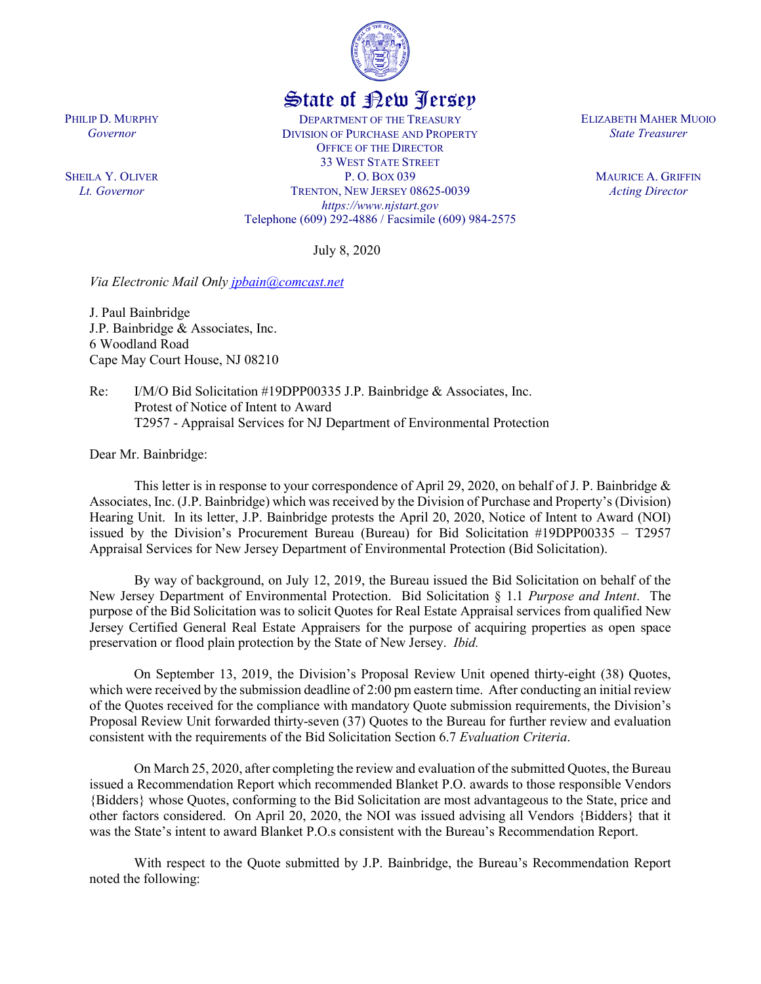

## State of New Jersey

DEPARTMENT OF THE TREASURY DIVISION OF PURCHASE AND PROPERTY OFFICE OF THE DIRECTOR 33 WEST STATE STREET P. O. BOX 039 TRENTON, NEW JERSEY 08625-0039 *https://www.njstart.gov* Telephone (609) 292-4886 / Facsimile (609) 984-2575

July 8, 2020

*Via Electronic Mail Only [jpbain@comcast.net](mailto:jpbain@comcast.net)*

J. Paul Bainbridge J.P. Bainbridge & Associates, Inc. 6 Woodland Road Cape May Court House, NJ 08210

Re: I/M/O Bid Solicitation #19DPP00335 J.P. Bainbridge & Associates, Inc. Protest of Notice of Intent to Award T2957 - Appraisal Services for NJ Department of Environmental Protection

Dear Mr. Bainbridge:

PHILIP D. MURPHY *Governor*

SHEILA Y. OLIVER *Lt. Governor*

> This letter is in response to your correspondence of April 29, 2020, on behalf of J. P. Bainbridge  $\&$ Associates, Inc. (J.P. Bainbridge) which was received by the Division of Purchase and Property's (Division) Hearing Unit. In its letter, J.P. Bainbridge protests the April 20, 2020, Notice of Intent to Award (NOI) issued by the Division's Procurement Bureau (Bureau) for Bid Solicitation #19DPP00335 – T2957 Appraisal Services for New Jersey Department of Environmental Protection (Bid Solicitation).

> By way of background, on July 12, 2019, the Bureau issued the Bid Solicitation on behalf of the New Jersey Department of Environmental Protection. Bid Solicitation § 1.1 *Purpose and Intent*. The purpose of the Bid Solicitation was to solicit Quotes for Real Estate Appraisal services from qualified New Jersey Certified General Real Estate Appraisers for the purpose of acquiring properties as open space preservation or flood plain protection by the State of New Jersey. *Ibid.*

> On September 13, 2019, the Division's Proposal Review Unit opened thirty-eight (38) Quotes, which were received by the submission deadline of 2:00 pm eastern time. After conducting an initial review of the Quotes received for the compliance with mandatory Quote submission requirements, the Division's Proposal Review Unit forwarded thirty-seven (37) Quotes to the Bureau for further review and evaluation consistent with the requirements of the Bid Solicitation Section 6.7 *Evaluation Criteria*.

> On March 25, 2020, after completing the review and evaluation of the submitted Quotes, the Bureau issued a Recommendation Report which recommended Blanket P.O. awards to those responsible Vendors {Bidders} whose Quotes, conforming to the Bid Solicitation are most advantageous to the State, price and other factors considered. On April 20, 2020, the NOI was issued advising all Vendors {Bidders} that it was the State's intent to award Blanket P.O.s consistent with the Bureau's Recommendation Report.

> With respect to the Quote submitted by J.P. Bainbridge, the Bureau's Recommendation Report noted the following:

ELIZABETH MAHER MUOIO *State Treasurer*

> MAURICE A. GRIFFIN *Acting Director*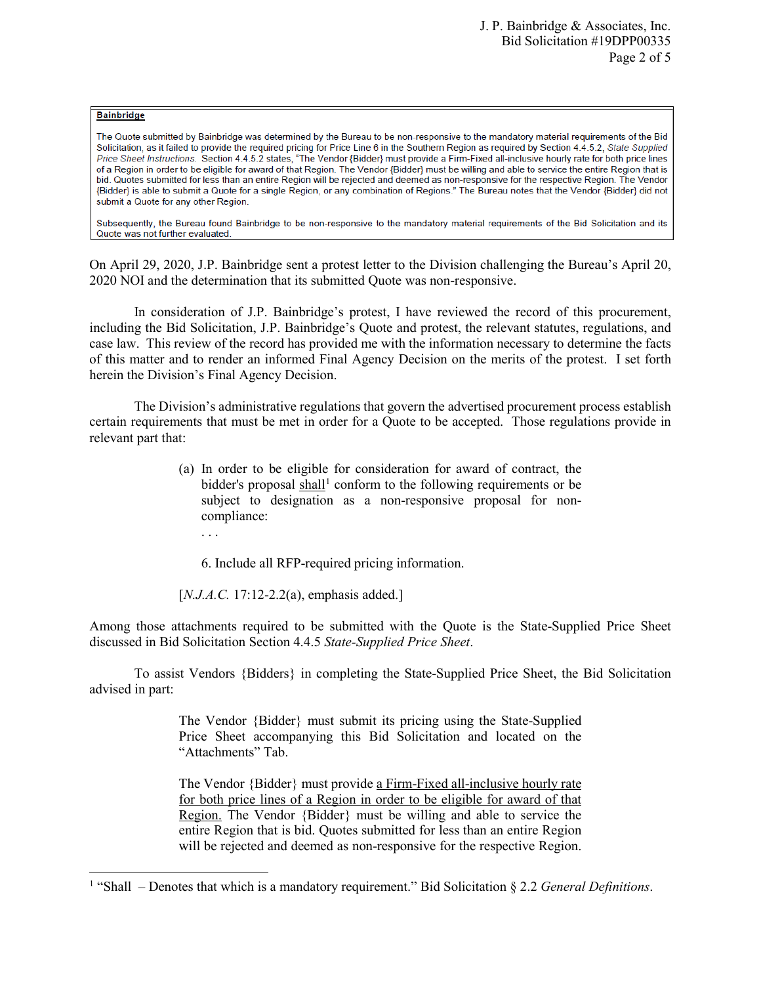## **Bainbridge**

l

The Quote submitted by Bainbridge was determined by the Bureau to be non-responsive to the mandatory material requirements of the Bid Solicitation, as it failed to provide the required pricing for Price Line 6 in the Southern Region as required by Section 4.4.5.2, State Supplied Price Sheet Instructions. Section 4.4.5.2 states, "The Vendor (Bidder) must provide a Firm-Fixed all-inclusive hourly rate for both price lines of a Region in order to be eligible for award of that Region. The Vendor {Bidder} must be willing and able to service the entire Region that is bid. Quotes submitted for less than an entire Region will be rejected and deemed as non-responsive for the respective Region. The Vendor (Bidder) is able to submit a Quote for a single Region, or any combination of Regions." The Bureau notes that the Vendor (Bidder) did not submit a Quote for any other Region.

Subsequently, the Bureau found Bainbridge to be non-responsive to the mandatory material requirements of the Bid Solicitation and its Quote was not further evaluated.

On April 29, 2020, J.P. Bainbridge sent a protest letter to the Division challenging the Bureau's April 20, 2020 NOI and the determination that its submitted Quote was non-responsive.

In consideration of J.P. Bainbridge's protest, I have reviewed the record of this procurement, including the Bid Solicitation, J.P. Bainbridge's Quote and protest, the relevant statutes, regulations, and case law. This review of the record has provided me with the information necessary to determine the facts of this matter and to render an informed Final Agency Decision on the merits of the protest. I set forth herein the Division's Final Agency Decision.

The Division's administrative regulations that govern the advertised procurement process establish certain requirements that must be met in order for a Quote to be accepted. Those regulations provide in relevant part that:

- (a) In order to be eligible for consideration for award of contract, the bidder's proposal  $\frac{\text{shall}}{\text{1}}$  $\frac{\text{shall}}{\text{1}}$  $\frac{\text{shall}}{\text{1}}$  conform to the following requirements or be subject to designation as a non-responsive proposal for noncompliance:
	- . . .

6. Include all RFP-required pricing information.

[*N.J.A.C.* 17:12-2.2(a), emphasis added.]

Among those attachments required to be submitted with the Quote is the State-Supplied Price Sheet discussed in Bid Solicitation Section 4.4.5 *State-Supplied Price Sheet*.

To assist Vendors {Bidders} in completing the State-Supplied Price Sheet, the Bid Solicitation advised in part:

> The Vendor {Bidder} must submit its pricing using the State-Supplied Price Sheet accompanying this Bid Solicitation and located on the "Attachments" Tab.

> The Vendor {Bidder} must provide a Firm-Fixed all-inclusive hourly rate for both price lines of a Region in order to be eligible for award of that Region. The Vendor {Bidder} must be willing and able to service the entire Region that is bid. Quotes submitted for less than an entire Region will be rejected and deemed as non-responsive for the respective Region.

<span id="page-1-0"></span><sup>1</sup> "Shall – Denotes that which is a mandatory requirement." Bid Solicitation § 2.2 *General Definitions*.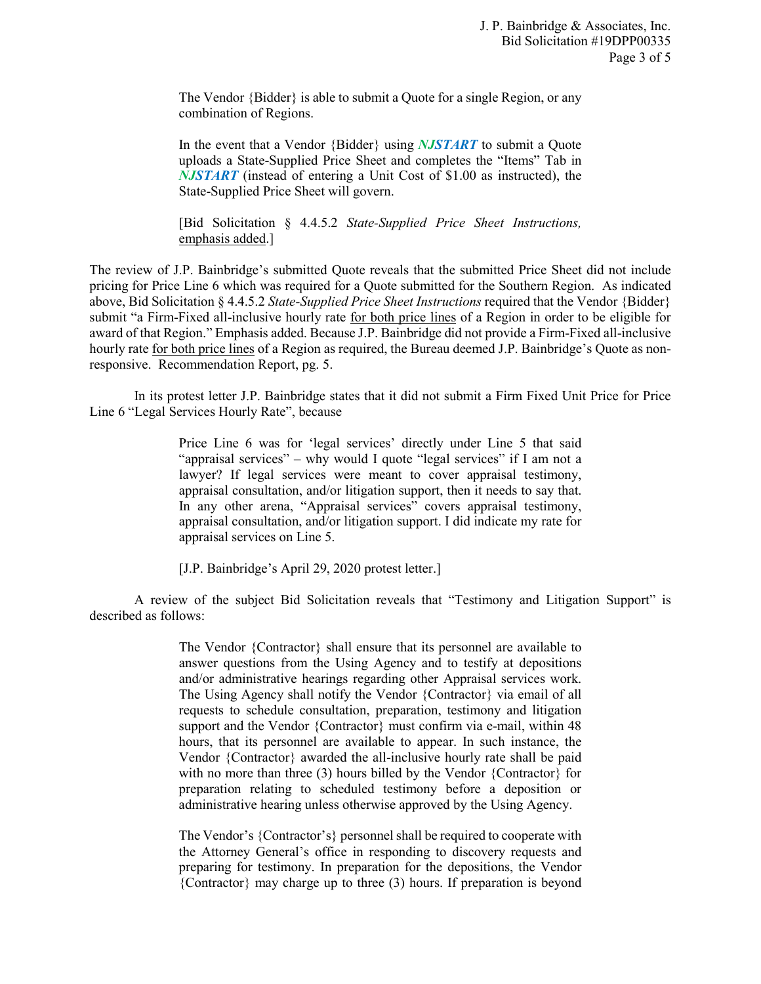The Vendor {Bidder} is able to submit a Quote for a single Region, or any combination of Regions.

In the event that a Vendor {Bidder} using *NJSTART* to submit a Quote uploads a State-Supplied Price Sheet and completes the "Items" Tab in *NJSTART* (instead of entering a Unit Cost of \$1.00 as instructed), the State-Supplied Price Sheet will govern.

[Bid Solicitation § 4.4.5.2 *State-Supplied Price Sheet Instructions,* emphasis added.]

The review of J.P. Bainbridge's submitted Quote reveals that the submitted Price Sheet did not include pricing for Price Line 6 which was required for a Quote submitted for the Southern Region. As indicated above, Bid Solicitation § 4.4.5.2 *State-Supplied Price Sheet Instructions* required that the Vendor {Bidder} submit "a Firm-Fixed all-inclusive hourly rate for both price lines of a Region in order to be eligible for award of that Region." Emphasis added. Because J.P. Bainbridge did not provide a Firm-Fixed all-inclusive hourly rate for both price lines of a Region as required, the Bureau deemed J.P. Bainbridge's Quote as nonresponsive. Recommendation Report, pg. 5.

In its protest letter J.P. Bainbridge states that it did not submit a Firm Fixed Unit Price for Price Line 6 "Legal Services Hourly Rate", because

> Price Line 6 was for 'legal services' directly under Line 5 that said "appraisal services" – why would I quote "legal services" if I am not a lawyer? If legal services were meant to cover appraisal testimony, appraisal consultation, and/or litigation support, then it needs to say that. In any other arena, "Appraisal services" covers appraisal testimony, appraisal consultation, and/or litigation support. I did indicate my rate for appraisal services on Line 5.

[J.P. Bainbridge's April 29, 2020 protest letter.]

A review of the subject Bid Solicitation reveals that "Testimony and Litigation Support" is described as follows:

> The Vendor {Contractor} shall ensure that its personnel are available to answer questions from the Using Agency and to testify at depositions and/or administrative hearings regarding other Appraisal services work. The Using Agency shall notify the Vendor {Contractor} via email of all requests to schedule consultation, preparation, testimony and litigation support and the Vendor {Contractor} must confirm via e-mail, within 48 hours, that its personnel are available to appear. In such instance, the Vendor {Contractor} awarded the all-inclusive hourly rate shall be paid with no more than three (3) hours billed by the Vendor {Contractor} for preparation relating to scheduled testimony before a deposition or administrative hearing unless otherwise approved by the Using Agency.

> The Vendor's {Contractor's} personnel shall be required to cooperate with the Attorney General's office in responding to discovery requests and preparing for testimony. In preparation for the depositions, the Vendor {Contractor} may charge up to three (3) hours. If preparation is beyond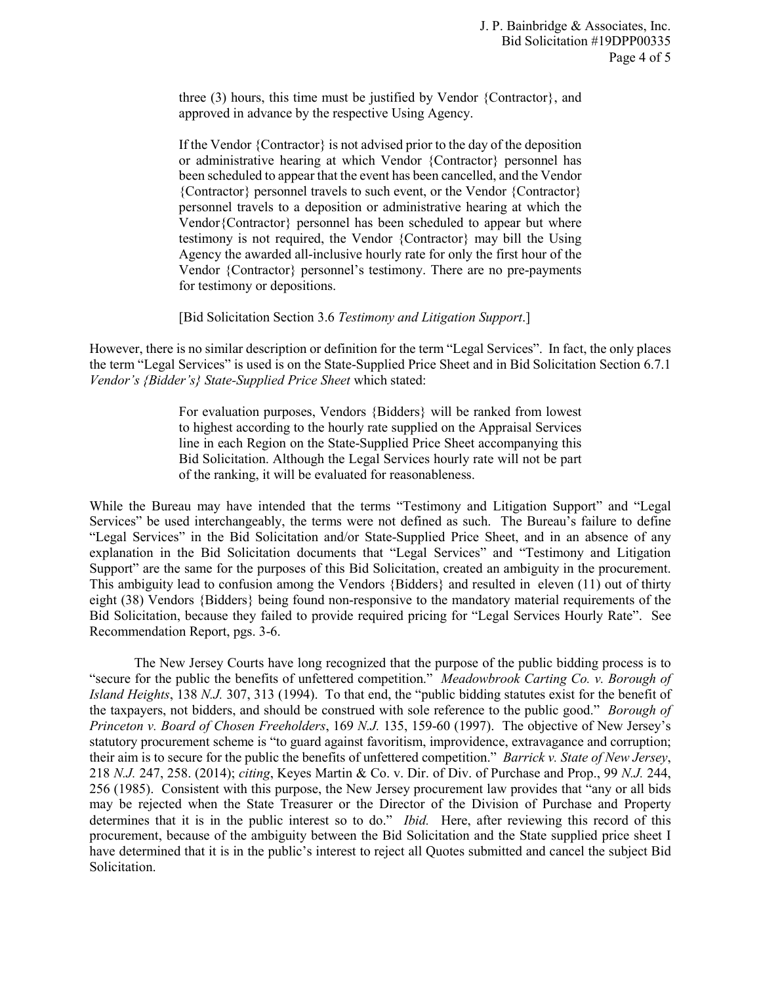three (3) hours, this time must be justified by Vendor {Contractor}, and approved in advance by the respective Using Agency.

If the Vendor {Contractor} is not advised prior to the day of the deposition or administrative hearing at which Vendor {Contractor} personnel has been scheduled to appear that the event has been cancelled, and the Vendor {Contractor} personnel travels to such event, or the Vendor {Contractor} personnel travels to a deposition or administrative hearing at which the Vendor{Contractor} personnel has been scheduled to appear but where testimony is not required, the Vendor {Contractor} may bill the Using Agency the awarded all-inclusive hourly rate for only the first hour of the Vendor {Contractor} personnel's testimony. There are no pre-payments for testimony or depositions.

[Bid Solicitation Section 3.6 *Testimony and Litigation Support*.]

However, there is no similar description or definition for the term "Legal Services". In fact, the only places the term "Legal Services" is used is on the State-Supplied Price Sheet and in Bid Solicitation Section 6.7.1 *Vendor's {Bidder's} State-Supplied Price Sheet* which stated:

> For evaluation purposes, Vendors {Bidders} will be ranked from lowest to highest according to the hourly rate supplied on the Appraisal Services line in each Region on the State-Supplied Price Sheet accompanying this Bid Solicitation. Although the Legal Services hourly rate will not be part of the ranking, it will be evaluated for reasonableness.

While the Bureau may have intended that the terms "Testimony and Litigation Support" and "Legal Services" be used interchangeably, the terms were not defined as such. The Bureau's failure to define "Legal Services" in the Bid Solicitation and/or State-Supplied Price Sheet, and in an absence of any explanation in the Bid Solicitation documents that "Legal Services" and "Testimony and Litigation Support" are the same for the purposes of this Bid Solicitation, created an ambiguity in the procurement. This ambiguity lead to confusion among the Vendors {Bidders} and resulted in eleven (11) out of thirty eight (38) Vendors {Bidders} being found non-responsive to the mandatory material requirements of the Bid Solicitation, because they failed to provide required pricing for "Legal Services Hourly Rate". See Recommendation Report, pgs. 3-6.

The New Jersey Courts have long recognized that the purpose of the public bidding process is to "secure for the public the benefits of unfettered competition." *Meadowbrook Carting Co. v. Borough of Island Heights*, 138 *N.J.* 307, 313 (1994). To that end, the "public bidding statutes exist for the benefit of the taxpayers, not bidders, and should be construed with sole reference to the public good." *Borough of Princeton v. Board of Chosen Freeholders*, 169 *N.J.* 135, 159-60 (1997). The objective of New Jersey's statutory procurement scheme is "to guard against favoritism, improvidence, extravagance and corruption; their aim is to secure for the public the benefits of unfettered competition." *Barrick v. State of New Jersey*, 218 *N.J.* 247, 258. (2014); *citing*, Keyes Martin & Co. v. Dir. of Div. of Purchase and Prop., 99 *N.J.* 244, 256 (1985). Consistent with this purpose, the New Jersey procurement law provides that "any or all bids may be rejected when the State Treasurer or the Director of the Division of Purchase and Property determines that it is in the public interest so to do." *Ibid.* Here, after reviewing this record of this procurement, because of the ambiguity between the Bid Solicitation and the State supplied price sheet I have determined that it is in the public's interest to reject all Quotes submitted and cancel the subject Bid Solicitation.